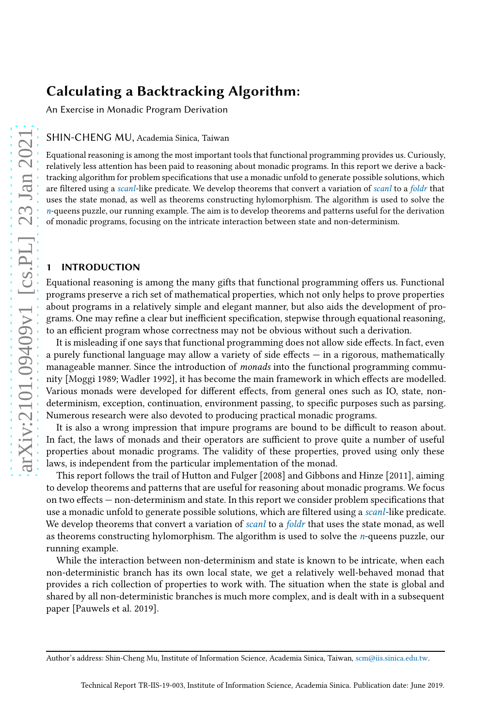An Exercise in Monadic Program Derivation

SHIN-CHENG MU, Academia Sinica, Taiwan

Equational reasoning is among the most important tools that functional programming provides us. Curiously, relatively less attention has been paid to reasoning about monadic programs. In this report we derive a backtracking algorithm for problem specifications that use a monadic unfold to generate possible solutions, which are filtered using a scanl-like predicate. We develop theorems that convert a variation of scanl to a foldr that uses the state monad, as well as theorems constructing hylomorphism. The algorithm is used to solve the  $n$ -queens puzzle, our running example. The aim is to develop theorems and patterns useful for the derivation of monadic programs, focusing on the intricate interaction between state and non-determinism.

## 1 INTRODUCTION

Equational reasoning is among the many gifts that functional programming offers us. Functional programs preserve a rich set of mathematical properties, which not only helps to prove properties about programs in a relatively simple and elegant manner, but also aids the development of programs. One may refine a clear but inefficient specification, stepwise through equational reasoning, to an efficient program whose correctness may not be obvious without such a derivation.

It is misleading if one says that functional programming does not allow side effects. In fact, even a purely functional language may allow a variety of side effects — in a rigorous, mathematically manageable manner. Since the introduction of *monads* into the functional programming community [\[Moggi 1989;](#page-13-0) [Wadler 1992\]](#page-14-0), it has become the main framework in which effects are modelled. Various monads were developed for different effects, from general ones such as IO, state, nondeterminism, exception, continuation, environment passing, to specific purposes such as parsing. Numerous research were also devoted to producing practical monadic programs.

It is also a wrong impression that impure programs are bound to be difficult to reason about. In fact, the laws of monads and their operators are sufficient to prove quite a number of useful properties about monadic programs. The validity of these properties, proved using only these laws, is independent from the particular implementation of the monad.

This report follows the trail of Hutton and Fulger [\[2008](#page-13-1)] and Gibbons and Hinze [\[2011\]](#page-13-2), aiming to develop theorems and patterns that are useful for reasoning about monadic programs. We focus on two effects — non-determinism and state. In this report we consider problem specifications that use a monadic unfold to generate possible solutions, which are filtered using a *scanl-like* predicate. We develop theorems that convert a variation of scanl to a foldr that uses the state monad, as well as theorems constructing hylomorphism. The algorithm is used to solve the  $n$ -queens puzzle, our running example.

While the interaction between non-determinism and state is known to be intricate, when each non-deterministic branch has its own local state, we get a relatively well-behaved monad that provides a rich collection of properties to work with. The situation when the state is global and shared by all non-deterministic branches is much more complex, and is dealt with in a subsequent paper [\[Pauwels et al. 2019\]](#page-14-1).

Author's address: Shin-Cheng Mu, Institute of Information Science, Academia Sinica, Taiwan, scm@iis.sinica.edu.tw.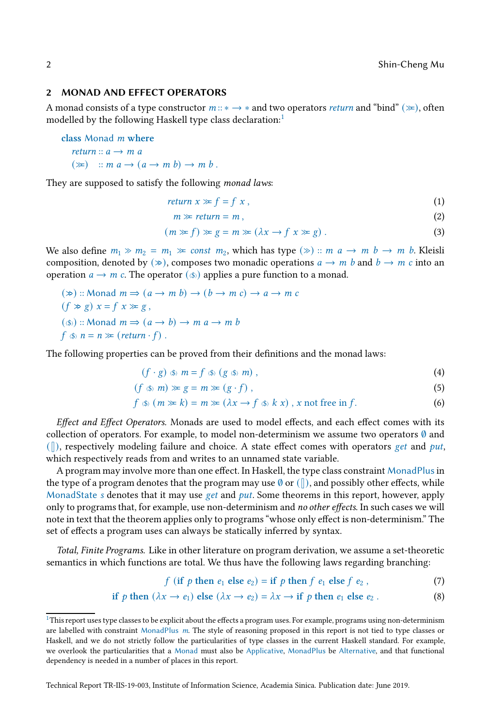#### 2 MONAD AND EFFECT OPERATORS

A monad consists of a type constructor  $m::* \rightarrow *$  and two operators *return* and "bind" ( $\gg$ ), often modelled by the following Haskell type class declaration:<sup>[1](#page-1-0)</sup>

```
class Monad m where
   return a \rightarrow m a(\ggg) :: m a \rightarrow (a \rightarrow m b) \rightarrow m b.
```
They are supposed to satisfy the following monad laws:

$$
return x \gg f = f x, \tag{1}
$$

<span id="page-1-5"></span><span id="page-1-2"></span>
$$
m \gg return = m \,, \tag{2}
$$

$$
(m \gg f) \gg g = m \gg (\lambda x \to f x \gg g). \tag{3}
$$

We also define  $m_1 \gg m_2 = m_1 \gg \text{const}$   $m_2$ , which has type  $(\gg)$  ::  $m \text{ a} \to m \text{ b} \to m \text{ b}$ . Kleisli composition, denoted by  $(\gg)$ , composes two monadic operations  $a \to m b$  and  $b \to m c$  into an operation  $a \to m$  c. The operator  $(\circledast)$  applies a pure function to a monad.

 $(\gg)$  :: Monad  $m \Rightarrow (a \rightarrow m b) \rightarrow (b \rightarrow m c) \rightarrow a \rightarrow m c$  $(f \gg g) x = f x \gg g$ ,  $(\text{(*)})$  :: Monad  $m \Rightarrow (a \rightarrow b) \rightarrow m \ a \rightarrow m \ b$  $f \circledast n = n \gg (return \cdot f)$ .

The following properties can be proved from their definitions and the monad laws:

<span id="page-1-3"></span><span id="page-1-1"></span>
$$
(f \cdot g) \circledast m = f \circledast (g \circledast m), \qquad (4)
$$

$$
(f \circledast m) \gg g = m \gg (g \cdot f), \tag{5}
$$

$$
f \circledast (m \gg k) = m \gg (\lambda x \to f \circledast k x), x \text{ not free in } f. \tag{6}
$$

Effect and Effect Operators. Monads are used to model effects, and each effect comes with its collection of operators. For example, to model non-determinism we assume two operators  $\emptyset$  and  $(\|)$ , respectively modeling failure and choice. A state effect comes with operators get and put, which respectively reads from and writes to an unnamed state variable.

A program may involve more than one effect. In Haskell, the type class constraint MonadPlusin the type of a program denotes that the program may use  $\emptyset$  or  $(\parallel)$ , and possibly other effects, while MonadState s denotes that it may use get and put. Some theorems in this report, however, apply only to programs that, for example, use non-determinism and no other effects. In such cases we will note in text that the theorem applies only to programs "whose only effect is non-determinism." The set of effects a program uses can always be statically inferred by syntax.

Total, Finite Programs. Like in other literature on program derivation, we assume a set-theoretic semantics in which functions are total. We thus have the following laws regarding branching:

<span id="page-1-4"></span>
$$
f \text{ (if } p \text{ then } e_1 \text{ else } e_2) = \text{if } p \text{ then } f \text{ } e_1 \text{ else } f \text{ } e_2 \text{ }, \tag{7}
$$

if *p* then 
$$
(\lambda x \to e_1)
$$
 else  $(\lambda x \to e_2) = \lambda x \to$  if *p* then  $e_1$  else  $e_2$ . (8)

<span id="page-1-0"></span><sup>&</sup>lt;sup>1</sup>This report uses type classes to be explicit about the effects a program uses. For example, programs using non-determinism are labelled with constraint MonadPlus  $m$ . The style of reasoning proposed in this report is not tied to type classes or Haskell, and we do not strictly follow the particularities of type classes in the current Haskell standard. For example, we overlook the particularities that a Monad must also be Applicative, MonadPlus be Alternative, and that functional dependency is needed in a number of places in this report.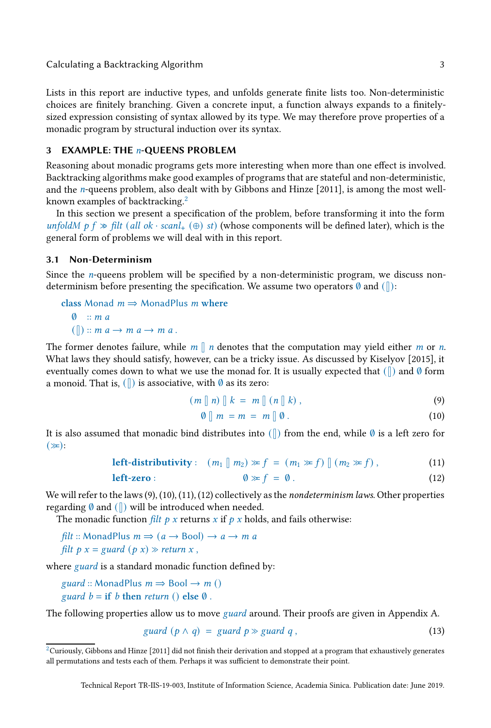Lists in this report are inductive types, and unfolds generate finite lists too. Non-deterministic choices are finitely branching. Given a concrete input, a function always expands to a finitelysized expression consisting of syntax allowed by its type. We may therefore prove properties of a monadic program by structural induction over its syntax.

## <span id="page-2-5"></span>3 EXAMPLE: THE n-QUEENS PROBLEM

Reasoning about monadic programs gets more interesting when more than one effect is involved. Backtracking algorithms make good examples of programs that are stateful and non-deterministic, and the n-queens problem, also dealt with by Gibbons and Hinze [\[2011](#page-13-2)], is among the most well-known examples of backtracking.<sup>[2](#page-2-0)</sup>

In this section we present a specification of the problem, before transforming it into the form unfoldM p  $f \gg$  filt (all ok · scanl<sub>+</sub> ( $\oplus$ ) st) (whose components will be defined later), which is the general form of problems we will deal with in this report.

## 3.1 Non-Determinism

Since the *n*-queens problem will be specified by a non-deterministic program, we discuss nondeterminism before presenting the specification. We assume two operators  $\emptyset$  and  $(\|)$ :

class Monad  $m \Rightarrow$  MonadPlus m where  $\emptyset$  :: m a  $(\Vert) :: m \ a \rightarrow m \ a \rightarrow m \ a$ .

The former denotes failure, while  $m \parallel n$  denotes that the computation may yield either m or n. What laws they should satisfy, however, can be a tricky issue. As discussed by Kiselyov [\[2015](#page-13-3)], it eventually comes down to what we use the monad for. It is usually expected that  $(\|)$  and Ø form a monoid. That is,  $(\parallel)$  is associative, with  $\emptyset$  as its zero:

$$
(m \parallel n) \parallel k = m \parallel (n \parallel k), \qquad (9)
$$

<span id="page-2-4"></span><span id="page-2-3"></span><span id="page-2-2"></span><span id="page-2-1"></span>
$$
\emptyset \parallel m = m = m \parallel \emptyset. \tag{10}
$$

It is also assumed that monadic bind distributes into  $(\|)$  from the end, while Ø is a left zero for  $(\gg):$ 

left-distributivity: 
$$
(m_1 \parallel m_2) \gg f = (m_1 \gg f) \parallel (m_2 \gg f)
$$
, (11)

$$
\textbf{left-zero}: \qquad \qquad \emptyset \gg f = \emptyset. \tag{12}
$$

We will refer to the laws [\(9\)](#page-2-1), [\(10\)](#page-2-2), [\(11\)](#page-2-3), [\(12\)](#page-2-4) collectively as the *nondeterminism laws*. Other properties regarding  $\emptyset$  and  $(\parallel)$  will be introduced when needed.

The monadic function filt  $p \times x$  returns  $x$  if  $p \times x$  holds, and fails otherwise:

filt :: MonadPlus  $m \Rightarrow (a \rightarrow \text{Bool}) \rightarrow a \rightarrow m$  a filt  $p x = \text{guard}(p x) \gg \text{return } x$ ,

where *guard* is a standard monadic function defined by:

guard :: MonadPlus  $m \Rightarrow$  Bool  $\rightarrow m$  () guard  $b =$  if b then return () else  $\emptyset$ .

The following properties allow us to move *guard* around. Their proofs are given in Appendix [A.](#page-14-2)

<span id="page-2-6"></span>
$$
guard (p \land q) = guard p \gg guard q , \qquad (13)
$$

<span id="page-2-0"></span> $^2$ Curiously, Gibbons and Hinze [\[2011\]](#page-13-2) did not finish their derivation and stopped at a program that exhaustively generates all permutations and tests each of them. Perhaps it was sufficient to demonstrate their point.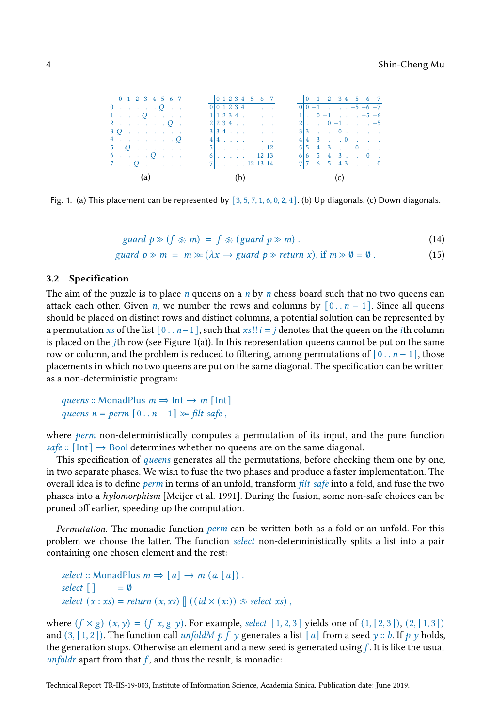<span id="page-3-0"></span>

| 0 1 2 3 4 5 6 7              |  |  |  |  | 0 1 2 3 4 5 6 7                                                                            |  | 0 1 2 3 4 5 6 7                                         |  |  |  |
|------------------------------|--|--|--|--|--------------------------------------------------------------------------------------------|--|---------------------------------------------------------|--|--|--|
| $0 \ldots \ldots \ldots Q$ . |  |  |  |  | $\begin{array}{ccccccccccccccccc}\n\hline\n0 & 0 & 1 & 2 & 3 & 4 & . & . & .\n\end{array}$ |  | $0 0-1$ $-5-6-7$                                        |  |  |  |
| $1 \ldots Q$                 |  |  |  |  | $1 1\;2\;3\;4$                                                                             |  | $1$ . $0 - 1$ $-5 - 6$                                  |  |  |  |
| 2. <i>0</i> .                |  |  |  |  | 2 234                                                                                      |  | $2$ , $0 - 1$ , $-5$                                    |  |  |  |
| $30.111$ . $11.111$          |  |  |  |  | $3 \mid 3 \mid 4 \mid \ldots \mid$ .                                                       |  | $3 3$ 0                                                 |  |  |  |
| 4. Q                         |  |  |  |  | $414$                                                                                      |  | $4 \mid 4 \mid 3 \ldots 0 \ldots$                       |  |  |  |
| $5 \cdot Q$                  |  |  |  |  | 5.1.1.1.1.1.12                                                                             |  | $5 \vert 5 \vert 4 \vert 3 \vert \ldots 0 \vert \ldots$ |  |  |  |
| $6 \ldots Q$                 |  |  |  |  | $6$ . 12 13                                                                                |  | $6 \mid 6 \mid 5 \mid 4 \mid 3 \ldots 0$ .              |  |  |  |
| $7 \cdot Q \cdot$            |  |  |  |  |                                                                                            |  | $7 \mid 7 \mid 6 \mid 5 \mid 4 \mid 3 \mid  \mid 0$     |  |  |  |
| (a) (b) (c)                  |  |  |  |  |                                                                                            |  |                                                         |  |  |  |

Fig. 1. (a) This placement can be represented by  $[3, 5, 7, 1, 6, 0, 2, 4]$ . (b) Up diagonals. (c) Down diagonals.

<span id="page-3-2"></span><span id="page-3-1"></span>
$$
guard\ p \gg (f \ll m) = f \ll (guard\ p \gg m) . \tag{14}
$$

$$
guard \, p \gg m = m \gg (\lambda x \to guard \, p \gg return \, x), \text{ if } m \gg 0 = 0 \,. \tag{15}
$$

#### 3.2 Specification

The aim of the puzzle is to place *n* queens on a *n* by *n* chess board such that no two queens can attack each other. Given *n*, we number the rows and columns by  $[0 \tcdot n - 1]$ . Since all queens should be placed on distinct rows and distinct columns, a potential solution can be represented by a permutation xs of the list  $[0 \t ... n-1]$ , such that xs!!  $i = j$  denotes that the queen on the *i*th column is placed on the  $j$ th row (see Figure [1\(](#page-3-0)a)). In this representation queens cannot be put on the same row or column, and the problem is reduced to filtering, among permutations of  $[0 \t ... n-1]$ , those placements in which no two queens are put on the same diagonal. The specification can be written as a non-deterministic program:

```
queens :: MonadPlus m \Rightarrow Int \rightarrow m [Int]
queens n = perm [0..n-1] \gg filt safe,
```
where *perm* non-deterministically computes a permutation of its input, and the pure function safe ::  $[Int] \rightarrow$  Bool determines whether no queens are on the same diagonal.

This specification of *queens* generates all the permutations, before checking them one by one, in two separate phases. We wish to fuse the two phases and produce a faster implementation. The overall idea is to define *perm* in terms of an unfold, transform *filt safe* into a fold, and fuse the two phases into a hylomorphism [\[Meijer et al. 1991\]](#page-13-4). During the fusion, some non-safe choices can be pruned off earlier, speeding up the computation.

*Permutation.* The monadic function *perm* can be written both as a fold or an unfold. For this problem we choose the latter. The function select non-deterministically splits a list into a pair containing one chosen element and the rest:

```
select :: MonadPlus m \Rightarrow [a] \rightarrow m (a, [a]).
select \lceil \cdot \rceil = \emptysetselect (x : xs) = return (x, xs) \mid ((id \times (x:)) \text{ } \textcircled{s} \textcirc select xs),
```
where  $(f \times g)$   $(x, y) = (f \times g)$ . For example, select [1, 2, 3] yields one of  $(1, [2, 3])$ ,  $(2, [1, 3])$ and  $(3, [1, 2])$ . The function call unfoldM p f y generates a list [a] from a seed y :: b. If p y holds, the generation stops. Otherwise an element and a new seed is generated using  $f$ . It is like the usual unfoldr apart from that  $f$ , and thus the result, is monadic: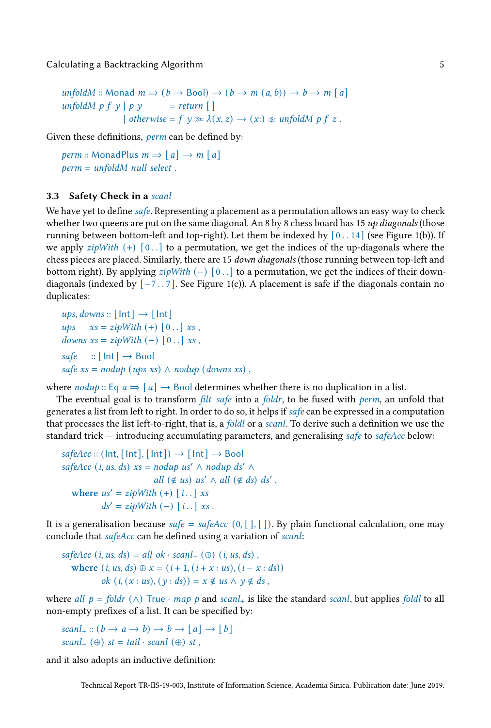```
unfoldM :: Monad m \Rightarrow (b \rightarrow \text{Bool}) \rightarrow (b \rightarrow m (a, b)) \rightarrow b \rightarrow m [a]unfoldM p f y | p y = return []| otherwise = f y \gg \lambda(x, z) \rightarrow (x) ($) unfoldM p f z.
```
Given these definitions, *perm* can be defined by:

perm :: MonadPlus  $m \Rightarrow [a] \rightarrow m [a]$ perm = unfoldM null select .

## 3.3 Safety Check in a scanl

We have yet to define *safe*. Representing a placement as a permutation allows an easy way to check whether two queens are put on the same diagonal. An 8 by 8 chess board has 15  $up$  diagonals (those running between bottom-left and top-right). Let them be indexed by  $[0..14]$  (see Figure [1\(](#page-3-0)b)). If we apply  $zipWith (+) [0..]$  to a permutation, we get the indices of the up-diagonals where the chess pieces are placed. Similarly, there are 15 down diagonals (those running between top-left and bottom right). By applying  $zipWith (-) [0..]$  to a permutation, we get the indices of their downdiagonals (indexed by  $[-7, .7]$ . See Figure [1\(](#page-3-0)c)). A placement is safe if the diagonals contain no duplicates:

ups, downs ::  $[Int] \rightarrow [Int]$ ups  $xs = zipWith (+) [0..] xs$ , downs  $xs = zipWith (-) [0..] xs,$  $safe$  ::  $[Int] \rightarrow Bool$ safe  $xs = nody$  (ups xs)  $\land$  nodup (downs xs),

where  $nodup :: Eq a \Rightarrow [a] \rightarrow Bool$  determines whether there is no duplication in a list.

The eventual goal is to transform *filt safe* into a *foldr*, to be fused with *perm*, an unfold that generates a list from left to right. In order to do so, it helps if  $\mathfrak{safe}$  can be expressed in a computation that processes the list left-to-right, that is, a *foldl* or a *scanl*. To derive such a definition we use the standard trick — introducing accumulating parameters, and generalising safe to safeAcc below:

```
safeAcc :: (Int, [Int], [Int]) \rightarrow [Int] \rightarrow BoolsafeAcc (i, us, ds) xs = nody us' \land nodup ds' \landall (\notin us) us' \wedge all (\notin ds) ds',
  where us' = zipWith (+) [i, .] xsds' = zipWith (-) [i..] xs.
```
It is a generalisation because safe = safeAcc  $(0, []$ , []). By plain functional calculation, one may conclude that *safeAcc* can be defined using a variation of *scanl*:

safeAcc (i, us, ds) = all ok · scanl<sub>+</sub> ( $\oplus$ ) (i, us, ds), where  $(i, us, ds) \oplus x = (i + 1, (i + x : us), (i - x : ds))$ ok  $(i, (x : us), (y : ds)) = x \notin us \land y \notin ds$ ,

where all  $p = foldr$  ( $\wedge$ ) True · map p and scanl<sub>+</sub> is like the standard scanl, but applies foldl to all non-empty prefixes of a list. It can be specified by:

 $\text{scal}_+ :: (b \rightarrow a \rightarrow b) \rightarrow b \rightarrow [a] \rightarrow [b]$ scanl<sub>+</sub> (⊕) st = tail · scanl (⊕) st,

and it also adopts an inductive definition: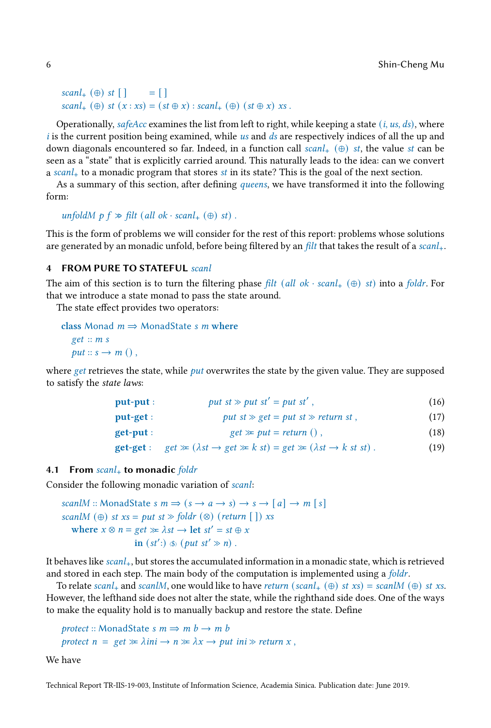```
scal_+ (⊕) st \lceil \rceil = \lceil \rceilscal_+(\oplus) st (x : xs) = (st \oplus x) : scanl_+(\oplus) (st \oplus x) xs.
```
Operationally, safeAcc examines the list from left to right, while keeping a state  $(i, us, ds)$ , where  $i$  is the current position being examined, while us and  $ds$  are respectively indices of all the up and down diagonals encountered so far. Indeed, in a function call  $scanl_{+}$  ( $\oplus$ ) st, the value st can be seen as a "state" that is explicitly carried around. This naturally leads to the idea: can we convert a scanl<sub>+</sub> to a monadic program that stores st in its state? This is the goal of the next section.

As a summary of this section, after defining *queens*, we have transformed it into the following form:

```
unfoldM p f \gg \text{filt} (all ok · scanl<sub>+</sub> (\oplus) st).
```
This is the form of problems we will consider for the rest of this report: problems whose solutions are generated by an monadic unfold, before being filtered by an *filt* that takes the result of a scanl<sub>+</sub>.

#### 4 FROM PURE TO STATEFUL scanl

The aim of this section is to turn the filtering phase filt (all ok · scanl<sub>+</sub> (⊕) st) into a foldr. For that we introduce a state monad to pass the state around.

The state effect provides two operators:

```
class Monad m \Rightarrow MonadState s m where
  get :: m sput :: s \rightarrow m(),
```
where get retrieves the state, while  $put$  overwrites the state by the given value. They are supposed to satisfy the state laws:

<span id="page-5-1"></span><span id="page-5-0"></span>

| put-put : | put st $\gg$ put st' = put st', | (16) |
|-----------|---------------------------------|------|
|           |                                 |      |

| put-get : | put st $\gg$ get = put st $\gg$ return st, | (17) |
|-----------|--------------------------------------------|------|
|-----------|--------------------------------------------|------|

| $get \gg put = return ()$ ,<br>get-put : |  | (18) |
|------------------------------------------|--|------|
|------------------------------------------|--|------|

```
get-get : get \gg (\lambda st \rightarrow get \gg k \text{ st}) = get \gg (\lambda st \rightarrow k \text{ st} \text{ st}). (19)
```
#### <span id="page-5-2"></span>4.1 From  $\text{scan}$ + to monadic foldr

Consider the following monadic variation of scanl:

scanlM :: MonadState s  $m \Rightarrow (s \rightarrow a \rightarrow s) \rightarrow s \rightarrow [a] \rightarrow m [s]$ scanlM  $(\oplus)$  st xs = put st  $\gg$  foldr  $(\otimes)$  (return []) xs where  $x \otimes n = get \gg \lambda st \rightarrow \text{let } st' = st \oplus x$ in  $(st') \otimes (put \; st' \gg n)$ .

It behaves like  $scan1_+$ , but stores the accumulated information in a monadic state, which is retrieved and stored in each step. The main body of the computation is implemented using a foldr.

To relate scanl<sub>+</sub> and scanlM, one would like to have return (scanl<sub>+</sub>  $(\oplus)$  st xs) = scanlM  $(\oplus)$  st xs. However, the lefthand side does not alter the state, while the righthand side does. One of the ways to make the equality hold is to manually backup and restore the state. Define

protect :: MonadState s  $m \Rightarrow m b \rightarrow m b$ protect  $n = get \gg \lambda ini \rightarrow n \gg \lambda x \rightarrow put ini \gg return x$ ,

We have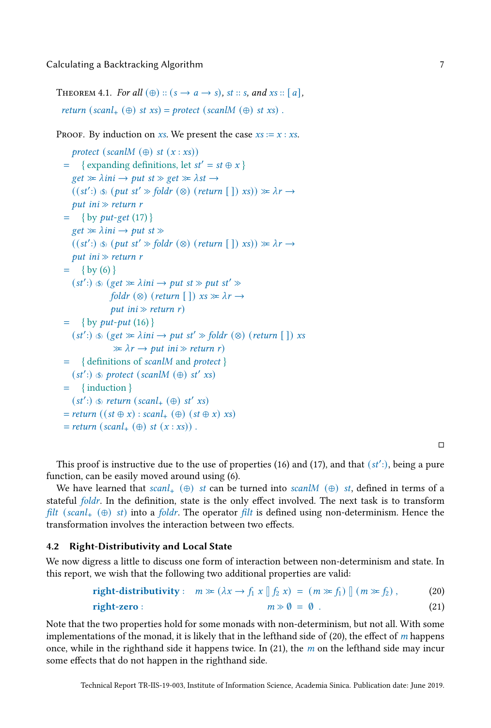<span id="page-6-2"></span>THEOREM 4.1. For all  $(\oplus)$  ::  $(s \rightarrow a \rightarrow s)$ , st :: s, and xs :: [a], return (scanl<sub>+</sub>  $(\oplus)$  st xs) = protect (scanlM  $(\oplus)$  st xs).

PROOF. By induction on xs. We present the case  $xs := x : xs$ .

```
protect (scanlM (\oplus) st (x : xs))
= \{ expanding definitions, let st' = st \oplus x }
   get \gg \lambda ini \rightarrow put \, st \gg get \gg \lambda st \rightarrow((st') \circledast (put st' \gg fold r \circledcirc) (return []) xs)) \ggcurlyeq \lambda r \rightarrowput ini \gg return r
= { by put-get(17) }
   get \gg \lambda ini \rightarrow put \, st \gg((st') \circledast (put st' \gg fold r \circledcirc) (return []) xs)) \ggcurlyeq \lambda r \rightarrowput ini \gg return r
= (6) }
   (st') \Rightarrow (get \gg \lambda ini \rightarrow put \, st \gg put \, st' \ggfoldr (\otimes) (return \lceil \cdot \rceil) xs \gg \lambda r \rightarrowput ini \gg return r)
= { by put-put(16) }
   (st') \otimes (get \gg \lambda ini \rightarrow put \; st' \gg foldr \; (\otimes) \; (return [\;]) xs
                  \gg \lambda r \rightarrow put \text{ }ini \gg return \text{ }r= { definitions of scanlM and protect }
   (st':) \circledast protect (scanlM (\oplus) st' xs)
= { induction }
   (st':) \circledast return (scanl<sub>+</sub> (\oplus) st' xs)
= return ((st \oplus x) : scanI_{+} (\oplus) (st \oplus x) xs)= return (scal_{+} (\oplus) st (x : xs)).
```
<span id="page-6-1"></span><span id="page-6-0"></span>

This proof is instructive due to the use of properties [\(16\)](#page-5-1) and [\(17\)](#page-5-0), and that  $(st')$ , being a pure function, can be easily moved around using [\(6\)](#page-1-1).

We have learned that  $scal_+$  ( $\oplus$ ) st can be turned into scanlM ( $\oplus$ ) st, defined in terms of a stateful foldr. In the definition, state is the only effect involved. The next task is to transform filt (scanl<sub>+</sub>  $(\oplus)$  st) into a foldr. The operator filt is defined using non-determinism. Hence the transformation involves the interaction between two effects.

## 4.2 Right-Distributivity and Local State

We now digress a little to discuss one form of interaction between non-determinism and state. In this report, we wish that the following two additional properties are valid:

$$
\text{right-distributivity}: \quad m \gg (\lambda x \to f_1 \ x \parallel f_2 \ x) = (m \gg f_1) \parallel (m \gg f_2), \tag{20}
$$
\n
$$
\text{right-zero}: \quad m \gg 0 = 0. \tag{21}
$$

Note that the two properties hold for some monads with non-determinism, but not all. With some implementations of the monad, it is likely that in the lefthand side of  $(20)$ , the effect of m happens once, while in the righthand side it happens twice. In  $(21)$ , the m on the lefthand side may incur some effects that do not happen in the righthand side.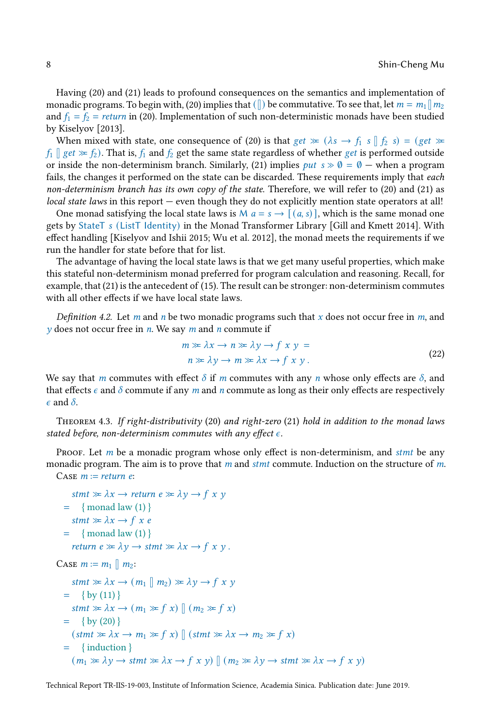Having [\(20\)](#page-6-0) and [\(21\)](#page-6-1) leads to profound consequences on the semantics and implementation of monadic programs. To begin with, [\(20\)](#page-6-0) implies that ( $\parallel$ ) be commutative. To see that, let  $m = m_1 \parallel m_2$ and  $f_1 = f_2 = return$  in [\(20\)](#page-6-0). Implementation of such non-deterministic monads have been studied by Kiselyov [\[2013\]](#page-13-5).

When mixed with state, one consequence of [\(20\)](#page-6-0) is that get  $\gg$  ( $\lambda s \rightarrow f_1 s \parallel f_2 s$ ) = (get  $\gg$  $f_1 \parallel get \geq f_2$ ). That is,  $f_1$  and  $f_2$  get the same state regardless of whether get is performed outside or inside the non-determinism branch. Similarly, [\(21\)](#page-6-1) implies *put*  $s \gg 0 = 0$  — when a program fails, the changes it performed on the state can be discarded. These requirements imply that each non-determinism branch has its own copy of the state. Therefore, we will refer to [\(20\)](#page-6-0) and [\(21\)](#page-6-1) as local state laws in this report — even though they do not explicitly mention state operators at all!

One monad satisfying the local state laws is M  $a = s \rightarrow [(a, s)]$ , which is the same monad one gets by StateT s (ListT Identity) in the Monad Transformer Library [\[Gill and Kmett 2014\]](#page-13-6). With effect handling [\[Kiselyov and Ishii 2015;](#page-13-7) [Wu et al. 2012](#page-14-3)], the monad meets the requirements if we run the handler for state before that for list.

The advantage of having the local state laws is that we get many useful properties, which make this stateful non-determinism monad preferred for program calculation and reasoning. Recall, for example, that [\(21\)](#page-6-1) is the antecedent of [\(15\)](#page-3-1). The result can be stronger: non-determinism commutes with all other effects if we have local state laws.

Definition 4.2. Let m and n be two monadic programs such that x does not occur free in m, and  $\nu$  does not occur free in *n*. We say *m* and *n* commute if

$$
m \gg \lambda x \to n \gg \lambda y \to f x y =
$$
  
\n
$$
n \gg \lambda y \to m \gg \lambda x \to f x y.
$$
 (22)

We say that m commutes with effect  $\delta$  if m commutes with any n whose only effects are  $\delta$ , and that effects  $\epsilon$  and  $\delta$  commute if any m and n commute as long as their only effects are respectively  $\epsilon$  and  $\delta$ .

<span id="page-7-0"></span>Theorem 4.3. If right-distributivity [\(20\)](#page-6-0) and right-zero [\(21\)](#page-6-1) hold in addition to the monad laws stated before, non-determinism commutes with any effect  $\epsilon$ .

Proof. Let  $m$  be a monadic program whose only effect is non-determinism, and stmt be any monadic program. The aim is to prove that  $m$  and  $s$ tmt commute. Induction on the structure of  $m$ . CASE  $m := return e$ :

```
stmt \gg \lambda x \rightarrow return e \gg \lambda y \rightarrow f x y= (1) }
     stmt \gg \lambda x \rightarrow f x e= (1) }
      return e \gg \lambda y \rightarrow \text{stmt} \gg \lambda x \rightarrow f x y.
CASE m := m_1 \parallel m_2:
     stmt \gg \lambda x \rightarrow (m_1 \parallel m_2) \gg \lambda y \rightarrow f x y= (11) }
     stmt \gg \lambda x \rightarrow (m_1 \gg f x) \parallel (m_2 \gg f x)= (20) }
     (\text{stmt} \gg \lambda x \rightarrow m_1 \gg f x) \parallel (\text{stmt} \gg \lambda x \rightarrow m_2 \gg f x)= { induction }
     (m_1 \gg \lambda \gamma \rightarrow \text{stmt} \gg \lambda x \rightarrow f x y) \parallel (m_2 \gg \lambda \gamma \rightarrow \text{stmt} \gg \lambda x \rightarrow f x y)
```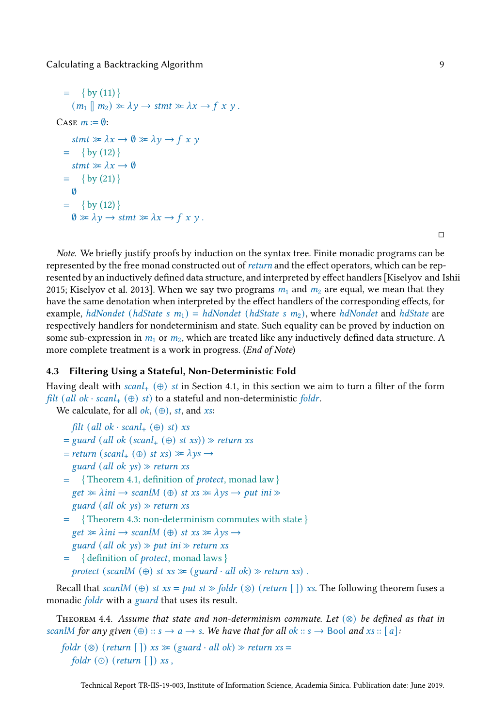```
= (11) }
       (m_1 \parallel m_2) \gg \lambda \gamma \rightarrow \text{stmt} \gg \lambda x \rightarrow f x y.
CASE m := \emptyset:
       stmt \gg \lambda x \rightarrow \emptyset \gg \lambda y \rightarrow f x y= (12) }
       stmt \gg \lambda x \rightarrow \emptyset= (21) }
       \emptyset= (12) }
       \emptyset \gg \lambda \gamma \rightarrow \text{stmt} \gg \lambda x \rightarrow \text{fx } \gamma.
```
 $\Box$ 

Note. We briefly justify proofs by induction on the syntax tree. Finite monadic programs can be represented by the free monad constructed out of return and the effect operators, which can be represented by an inductively defined data structure, and interpreted by effect handlers [\[Kiselyov and Ishii](#page-13-7) [2015;](#page-13-7) [Kiselyov et al. 2013\]](#page-13-8). When we say two programs  $m_1$  and  $m_2$  are equal, we mean that they have the same denotation when interpreted by the effect handlers of the corresponding effects, for example, hdNondet (hdState s  $m_1$ ) = hdNondet (hdState s  $m_2$ ), where hdNondet and hdState are respectively handlers for nondeterminism and state. Such equality can be proved by induction on some sub-expression in  $m_1$  or  $m_2$ , which are treated like any inductively defined data structure. A more complete treatment is a work in progress. (End of Note)

## 4.3 Filtering Using a Stateful, Non-Deterministic Fold

Having dealt with scanl<sub>+</sub>  $(\oplus)$  st in Section [4.1,](#page-5-2) in this section we aim to turn a filter of the form filt (all ok · scanl<sub>+</sub>  $(\oplus)$  st) to a stateful and non-deterministic foldr.

We calculate, for all  $ok$ ,  $(\oplus)$ , st, and xs:

```
filt (all ok · scanl<sub>+</sub> (⊕) st) xs
```
- $=$  guard (all ok (scanl<sub>+</sub> (⊕) st xs))  $\gg$  return xs
- $= return (scal_{+} (\oplus) st xs) \gg \lambda ys \rightarrow$ guard (all ok  $ys$ )  $\gg$  return xs
- = { Theorem [4.1,](#page-6-2) definition of protect, monad law }  $get \gg \lambda ini \rightarrow scanIM \ (\oplus) \ st \ xs \gg \lambda \gamma s \rightarrow put \ ini \gg$ guard (all ok  $ys) \gg$  return xs
- = { Theorem [4.3:](#page-7-0) non-determinism commutes with state }  $get \gg \lambda ini \rightarrow scanIM \ (\oplus) \ st \ xs \gg \lambda \ ys \rightarrow$ guard (all ok  $\gamma s$ )  $\gg$  put ini  $\gg$  return xs
- = { definition of protect, monad laws }

protect (scanlM  $(\oplus)$  st  $xs \cong (guard \cdot all \, ok) \gg return xs)$ .

Recall that scanlM (⊕) st  $xs = put$  st  $\gg$  foldr (⊗) (return []) xs. The following theorem fuses a monadic *foldr* with a *guard* that uses its result.

<span id="page-8-0"></span>THEOREM 4.4. Assume that state and non-determinism commute. Let  $(\otimes)$  be defined as that in scanlM for any given  $(\oplus)$  ::  $s \to a \to s$ . We have that for all  $ok :: s \to$  Bool and  $xs :: [a]$ :

```
foldr (\otimes) (return \lceil \cdot \rceil) xs \succcurlyeq (guard · all ok) \succcurlyeq return xs =
    foldr ( \odot ) (return \lceil \cdot \rceil) xs,
```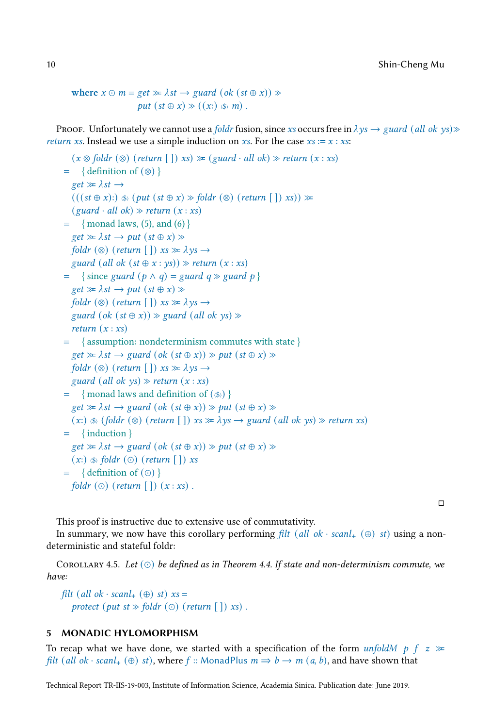where 
$$
x \odot m = get \gg \lambda st \rightarrow guard (ok (st \oplus x)) \gg
$$
  
put  $(st \oplus x) \gg ((x: ) \circledast m)$ .

Proof. Unfortunately we cannot use a foldr fusion, since xs occurs free in  $\lambda y_s \to \text{guard}$  (all ok ys) $\gg$ *return xs.* Instead we use a simple induction on xs. For the case  $xs := x : xs$ :

```
(x \otimes foldr \otimes (return \upharpoonright)) xs) \gg (guard \cdot all \ok) \gg return (x : xs)= { definition of (⊗) }
  get \gg \lambda st \rightarrow(((st \oplus x)) \circledast (put (st \oplus x) \otimes foldr (\otimes) (return [\ ]) xs)) \gg(guard \cdot all \, ok) \gg return (x : xs)= (5) (6)}
  get \gg \lambda st \rightarrow put (st \oplus x) \ggfoldr (\otimes) (return \lceil \cdot \rceil) xs \gg \lambdays \rightarrowguard (all ok (st \oplus x : \gamma s)) \gg return (x : xs)= { since guard (p \land q) = guard q \gg guard p }
  get \gg \lambda st \rightarrow put (st \oplus x) \ggfoldr (\otimes) (return \lceil \cdot \rceil) xs \gg \lambdays \rightarrowguard (\alpha k (st \oplus x)) \gg guard (all ok ys) \ggreturn (x : xs)= { assumption: nondeterminism commutes with state }
  get \gg \lambda st \rightarrow guard (ok (st \oplus x)) \gg put (st \oplus x) \ggfoldr (\otimes) (return \lceil \cdot \rceil) xs \gg \lambdays \rightarrowguard (all ok ys) \gg return (x : xs)= \{ monad laws and definition of (\circledast) }
  get \gg \lambda st \rightarrow guard (ok (st \oplus x)) \gg put (st \oplus x) \gg(x: \mathcal{A}) \circledast (foldr \circledast) (return \lceil \cdot \rceil) xs \gg \lambda ys \rightarrow guard \circledast (all \circ k \circys) \gg return xs)= { induction }
  get \gg \lambda st \rightarrow guard (ok (st \oplus x)) \gg put (st \oplus x) \gg(x: \infty) ($) foldr (⊙) (return [ ]) xs
= { definition of (⊙) }
  foldr (⊙) (return []) (x : xs).
```
 $\Box$ 

This proof is instructive due to extensive use of commutativity.

In summary, we now have this corollary performing filt (all ok · scanl<sub>+</sub>  $(\oplus)$  st) using a nondeterministic and stateful foldr:

<span id="page-9-0"></span>COROLLARY 4.5. Let  $(\circ)$  be defined as in Theorem [4.4.](#page-8-0) If state and non-determinism commute, we have:

filt (all ok · scanl<sub>+</sub> (⊕) st)  $xs =$ protect (put st  $\gg$  foldr (⊙) (return []) xs).

# 5 MONADIC HYLOMORPHISM

To recap what we have done, we started with a specification of the form unfold  $p \mid f \geq x$ filt (all ok · scanl<sub>+</sub> (⊕) st), where f :: MonadPlus  $m \Rightarrow b \rightarrow m$  (a, b), and have shown that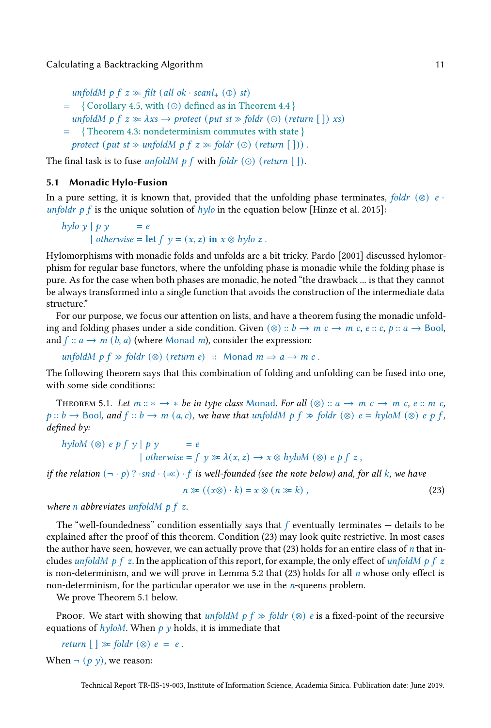unfoldM p  $f$   $z \gg$  filt (all ok · scanl<sub>+</sub> ( $\oplus$ ) st)

- = { Corollary [4.5,](#page-9-0) with (⊙) defined as in Theorem [4.4](#page-8-0) }
- unfoldM p  $f$   $z \gg \lambda xs \rightarrow$  protect (put  $st \gg$  foldr (⊙) (return []) xs)
- = { Theorem [4.3:](#page-7-0) nondeterminism commutes with state }
- protect (put st  $\gg$  unfoldM p f  $z \gg$  foldr (⊙) (return [])).

The final task is to fuse unfoldM p f with foldr  $(\odot)$  (return  $\lceil \cdot \rceil$ ).

## 5.1 Monadic Hylo-Fusion

In a pure setting, it is known that, provided that the unfolding phase terminates, foldr (⊗) e · unfoldr p f is the unique solution of  $h y l$  in the equation below [\[Hinze et al. 2015\]](#page-13-9):

hylo y  $| p y |$  = e | otherwise = let  $f \, y = (x, z)$  in  $x \otimes hylo z$ .

Hylomorphisms with monadic folds and unfolds are a bit tricky. Pardo [\[2001\]](#page-14-4) discussed hylomorphism for regular base functors, where the unfolding phase is monadic while the folding phase is pure. As for the case when both phases are monadic, he noted "the drawback ... is that they cannot be always transformed into a single function that avoids the construction of the intermediate data structure."

For our purpose, we focus our attention on lists, and have a theorem fusing the monadic unfolding and folding phases under a side condition. Given  $(\otimes)$  ::  $b \rightarrow m$   $c \rightarrow m$   $c$ ,  $e$  ::  $c$ ,  $p$  ::  $a \rightarrow$  Bool, and  $f$  ::  $a \rightarrow m$  (b, a) (where Monad m), consider the expression:

unfoldM  $p f \gg f$ oldr (⊗) (return e) :: Monad  $m \Rightarrow a \rightarrow m$  c.

The following theorem says that this combination of folding and unfolding can be fused into one, with some side conditions:

<span id="page-10-1"></span>THEOREM 5.1. Let  $m :: * \rightarrow *$  be in type class Monad. For all  $(\otimes) :: a \rightarrow m \in e \rightarrow m \in e$ .  $m \in e$ .  $p:: b \rightarrow \text{Bool}$ , and  $f:: b \rightarrow m$  (a, c), we have that unfold  $p \nmid p \neq \text{fold } s$  ( $\otimes$ )  $e = hy \text{tol}$  ( $\otimes$ )  $e \cdot p \neq f$ , defined by:

hyloM (⊗) e p f y | p y = e | otherwise =  $f y \gg \lambda(x, z) \rightarrow x \otimes hyl o M (\otimes) e p f z$ ,

if the relation  $(- \cdot p)$ ? ·snd ·  $(\ll)$  · f is well-founded (see the note below) and, for all k, we have

<span id="page-10-0"></span>
$$
n \gg ((x \otimes) \cdot k) = x \otimes (n \gg k), \qquad (23)
$$

where *n* abbreviates unfold  $p \mid z$ .

The "well-foundedness" condition essentially says that  $f$  eventually terminates  $-$  details to be explained after the proof of this theorem. Condition [\(23\)](#page-10-0) may look quite restrictive. In most cases the author have seen, however, we can actually prove that  $(23)$  holds for an entire class of *n* that includes unfoldM p f z. In the application of this report, for example, the only effect of unfoldM p f z is non-determinism, and we will prove in Lemma [5.2](#page-11-0) that [\(23\)](#page-10-0) holds for all  $n$  whose only effect is non-determinism, for the particular operator we use in the  $n$ -queens problem.

We prove Theorem [5.1](#page-10-1) below.

PROOF. We start with showing that unfoldM p  $f \gg$  foldr  $(\otimes)$  e is a fixed-point of the recursive equations of  $h$ *yloM*. When  $p$  *y* holds, it is immediate that

return  $[\ ] \gg \text{fold } r \ (\otimes) \ e = e$ .

When  $\neg$  (p y), we reason: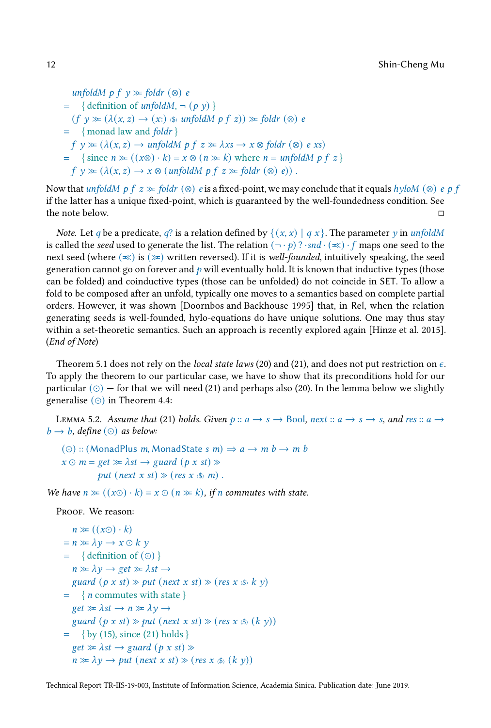```
unfoldM p f y \approx foldr (⊗) e
= \{ \text{definition of <i>unfoldM</i>, <math>\neg</math> (<i>p</i> <i>y</i>) \}(f \vee \ge (\lambda(x, z) \rightarrow (x)) \ unfoldM p f z)) \ge foldr (\otimes) e
= { monad law and foldr }
  f \circ \mathcal{V} \cong (\lambda(x, z) \to \text{unfold}M \circ f z \cong \lambda xs \to x \otimes \text{fold}r \circ \mathcal{O}) e xs)= \{ \text{ since } n \geq ((x \otimes) \cdot k) = x \otimes (n \geq k) \text{ where } n = \text{unfold}M \text{ of } z \}f \, y \gg (\lambda(x, z) \rightarrow x \otimes (unfoldM \, p \, f \, z \gg foldr \, (\otimes) \, e)).
```
Now that unfoldM p f  $z \ge \text{foldr}$  (⊗) e is a fixed-point, we may conclude that it equals hyloM (⊗) e p f if the latter has a unique fixed-point, which is guaranteed by the well-foundedness condition. See the note below.

*Note.* Let q be a predicate, q? is a relation defined by  $\{(x, x) | q x\}$ . The parameter y in unfoldM is called the seed used to generate the list. The relation  $(-, p)$  ?  $\cdot$ snd  $\cdot (\infty) \cdot f$  maps one seed to the next seed (where  $(\le)$  is  $(\ge)$  written reversed). If it is well-founded, intuitively speaking, the seed generation cannot go on forever and  $p$  will eventually hold. It is known that inductive types (those can be folded) and coinductive types (those can be unfolded) do not coincide in SET. To allow a fold to be composed after an unfold, typically one moves to a semantics based on complete partial orders. However, it was shown [\[Doornbos and Backhouse 1995\]](#page-13-10) that, in Rel, when the relation generating seeds is well-founded, hylo-equations do have unique solutions. One may thus stay within a set-theoretic semantics. Such an approach is recently explored again [\[Hinze et al. 2015\]](#page-13-9). (End of Note)

Theorem [5.1](#page-10-1) does not rely on the *local state laws* [\(20\)](#page-6-0) and [\(21\)](#page-6-1), and does not put restriction on  $\epsilon$ . To apply the theorem to our particular case, we have to show that its preconditions hold for our particular  $(\circ)$  — for that we will need [\(21\)](#page-6-1) and perhaps also [\(20\)](#page-6-0). In the lemma below we slightly generalise  $(\odot)$  in Theorem [4.4:](#page-8-0)

<span id="page-11-0"></span>LEMMA 5.2. Assume that [\(21\)](#page-6-1) holds. Given  $p :: a \rightarrow s \rightarrow$  Bool, next  $:: a \rightarrow s \rightarrow s$ , and res  $:: a \rightarrow$  $b \rightarrow b$ , define (⊙) as below:

```
(⊙) :: (MonadPlus m, MonadState s m) \Rightarrow a \rightarrow m b \rightarrow m b
x \odot m = get \gg \lambda st \rightarrow guard (p x st) \ggput (next x st) \gg (res x \llap{$\circ$}) m).
```
We have  $n \gg ((x \odot) \cdot k) = x \odot (n \gg k)$ , if n commutes with state.

PROOF. We reason:

```
n \gg ((x \odot) \cdot k)= n \gg \lambda y \rightarrow x \odot k y= \{ \text{definition of } (\odot) \}n \gg \lambda y \rightarrow get \gg \lambda st \rightarrowguard (p \times st) \gg put (next \times st) \gg (res \times \textcircled{k} \times \textcircled{k})= \{ n commutes with state \}get \gg \lambda st \rightarrow n \gg \lambda y \rightarrowguard (p \times st) \gg put (next \times st) \gg (res \times \textcircled{s} (k \gamma))= (15) (21) holds }
   get \gg \lambda st \rightarrow guard (p \times st) \ggn \gg \lambda y \rightarrow put (next x st) \gg (res x \llbracket x \rrbracket)
```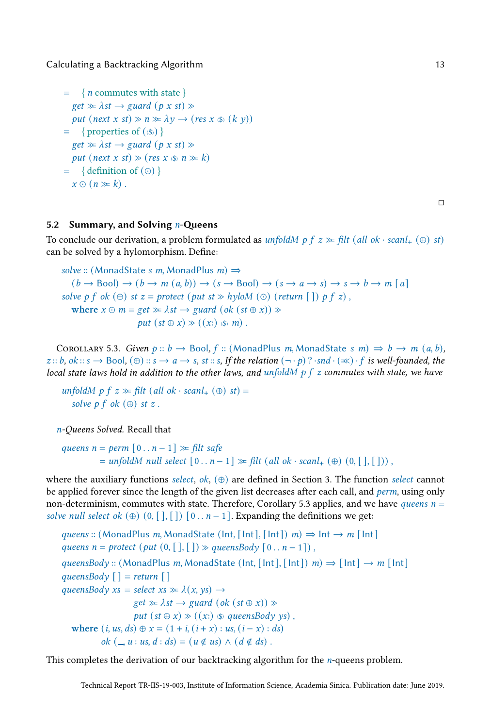```
= \{ n commutes with state \}get \gg \lambda st \rightarrow guard (p \times st) \ggput (next x st) \gg n \gg \lambda y \rightarrow (res \ x \ll (k \ y))= \{ properties of (\textcircled{s})}
  get \gg \lambda st \rightarrow guard (p \times st) \ggput (next x st) \gg (res x \llbracket x \rrbracket n \gg k)
= \{ \text{definition of } (\odot) \}x \odot (n \gg k).
```

```
\Box
```
## 5.2 Summary, and Solving  $n$ -Queens

To conclude our derivation, a problem formulated as unfoldM p  $f z \gg fil t$  (all ok · scanl,  $(\oplus)$  st) can be solved by a hylomorphism. Define:

```
solve :: (MonadState s m, MonadPlus m) \Rightarrow(b \rightarrow \text{Bool}) \rightarrow (b \rightarrow m \ (a, b)) \rightarrow (s \rightarrow \text{Bool}) \rightarrow (s \rightarrow a \rightarrow s) \rightarrow s \rightarrow b \rightarrow m \ [a]solve p f ok (\oplus) st z = protect (put st \gg hyloM (\odot) (return \lceil \cdot \rceil) p f z),
    where x \odot m = get \gg \lambda st \rightarrow guard (ok (st \oplus x)) \ggput (st \oplus x) \gg ((x: \ \ \ \ \ \ \ \ m).
```
<span id="page-12-0"></span>COROLLARY 5.3. Given  $p:: b \rightarrow \text{Bool}$ ,  $f::$  (MonadPlus m, MonadState s m)  $\Rightarrow b \rightarrow m$   $(a, b)$ ,  $z::b, ok::s \rightarrow \text{Bool}, (\oplus)::s \rightarrow a \rightarrow s, st::s, If the relation (\neg \cdot p)? \cdot snd \cdot (\ll)\cdot f$  is well-founded, the local state laws hold in addition to the other laws, and unfold  $M \, p \, f \, z$  commutes with state, we have

unfoldM p f  $z \gg \text{filt}$  (all ok · scanl<sub>+</sub> ( $\oplus$ ) st) = solve  $p f$  ok  $(\oplus)$  st  $z$ .

n-Queens Solved. Recall that

```
queens n = perm [0..n-1] \gg filt safe= unfoldM null select [0 \t ... n-1] \gg \text{filt} (all ok · scanl<sub>+</sub> (\oplus) (0, [ \t , [ \t ])),
```
where the auxiliary functions select, ok,  $(\oplus)$  are defined in Section [3.](#page-2-5) The function select cannot be applied forever since the length of the given list decreases after each call, and *perm*, using only non-determinism, commutes with state. Therefore, Corollary [5.3](#page-12-0) applies, and we have *queens*  $n =$ solve null select ok  $(\oplus)$   $(0, []$ ,  $[ ]$   $[ 0 ... n - 1 ]$ . Expanding the definitions we get:

queens :: (MonadPlus m, MonadState (Int, [Int], [Int])  $m$ )  $\Rightarrow$  Int  $\rightarrow$  m [Int] queens  $n =$  protect  $(put (0, [\,], [\,]) \gg queensBody [0..n-1])$ , queensBody :: (MonadPlus m, MonadState (Int, [Int], [Int])  $m \Rightarrow$  [Int]  $\rightarrow m$  [Int] queensBody  $[$   $]$  = return  $[$   $]$ queensBody  $xs = select \, xs \gg \lambda(x, vs) \rightarrow$  $get \gg \lambda st \rightarrow guard (ok (st \oplus x)) \gg$ put  $(st \oplus x) \gg ((x))$   $\circledast$  queensBody ys), where  $(i, us, ds) \oplus x = (1 + i, (i + x) : us, (i - x) : ds)$ ok  $($ ,  $u : us, d : ds) = (u \notin us) \wedge (d \notin ds)$ .

This completes the derivation of our backtracking algorithm for the  $n$ -queens problem.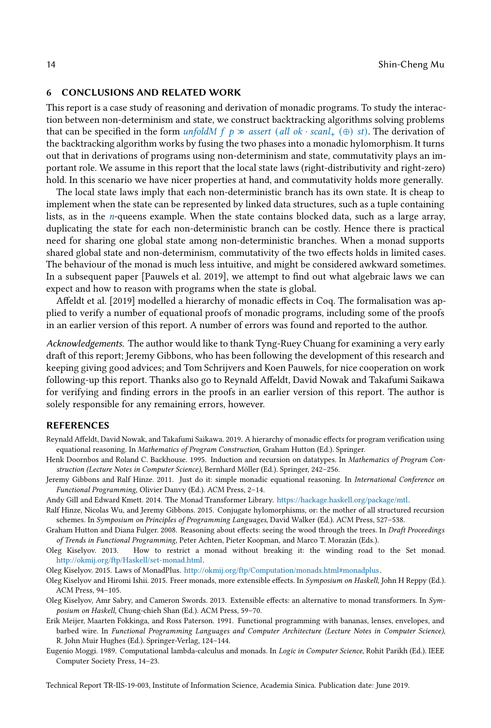#### 6 CONCLUSIONS AND RELATED WORK

This report is a case study of reasoning and derivation of monadic programs. To study the interaction between non-determinism and state, we construct backtracking algorithms solving problems that can be specified in the form unfoldM f  $p \gg$  assert (all ok · scanl<sub>+</sub> (⊕) st). The derivation of the backtracking algorithm works by fusing the two phases into a monadic hylomorphism. It turns out that in derivations of programs using non-determinism and state, commutativity plays an important role. We assume in this report that the local state laws (right-distributivity and right-zero) hold. In this scenario we have nicer properties at hand, and commutativity holds more generally.

The local state laws imply that each non-deterministic branch has its own state. It is cheap to implement when the state can be represented by linked data structures, such as a tuple containing lists, as in the n-queens example. When the state contains blocked data, such as a large array, duplicating the state for each non-deterministic branch can be costly. Hence there is practical need for sharing one global state among non-deterministic branches. When a monad supports shared global state and non-determinism, commutativity of the two effects holds in limited cases. The behaviour of the monad is much less intuitive, and might be considered awkward sometimes. In a subsequent paper [\[Pauwels et al. 2019\]](#page-14-1), we attempt to find out what algebraic laws we can expect and how to reason with programs when the state is global.

[Affeldt et al. \[2019\]](#page-13-11) modelled a hierarchy of monadic effects in Coq. The formalisation was applied to verify a number of equational proofs of monadic programs, including some of the proofs in an earlier version of this report. A number of errors was found and reported to the author.

Acknowledgements. The author would like to thank Tyng-Ruey Chuang for examining a very early draft of this report; Jeremy Gibbons, who has been following the development of this research and keeping giving good advices; and Tom Schrijvers and Koen Pauwels, for nice cooperation on work following-up this report. Thanks also go to Reynald Affeldt, David Nowak and Takafumi Saikawa for verifying and finding errors in the proofs in an earlier version of this report. The author is solely responsible for any remaining errors, however.

## REFERENCES

- <span id="page-13-11"></span>Reynald Affeldt, David Nowak, and Takafumi Saikawa. 2019. A hierarchy of monadic effects for program verification using equational reasoning. In Mathematics of Program Construction, Graham Hutton (Ed.). Springer.
- <span id="page-13-10"></span>Henk Doornbos and Roland C. Backhouse. 1995. Induction and recursion on datatypes. In Mathematics of Program Construction (Lecture Notes in Computer Science), Bernhard Möller (Ed.). Springer, 242–256.
- <span id="page-13-2"></span>Jeremy Gibbons and Ralf Hinze. 2011. Just do it: simple monadic equational reasoning. In International Conference on Functional Programming, Olivier Danvy (Ed.). ACM Press, 2–14.
- <span id="page-13-6"></span>Andy Gill and Edward Kmett. 2014. The Monad Transformer Library. [https://hackage.haskell.org/package/mtl.](https://hackage.haskell.org/package/mtl)
- <span id="page-13-9"></span>Ralf Hinze, Nicolas Wu, and Jeremy Gibbons. 2015. Conjugate hylomorphisms, or: the mother of all structured recursion schemes. In Symposium on Principles of Programming Languages, David Walker (Ed.). ACM Press, 527–538.
- <span id="page-13-1"></span>Graham Hutton and Diana Fulger. 2008. Reasoning about effects: seeing the wood through the trees. In Draft Proceedings of Trends in Functional Programming, Peter Achten, Pieter Koopman, and Marco T. Morazán (Eds.).
- <span id="page-13-5"></span>Oleg Kiselyov. 2013. How to restrict a monad without breaking it: the winding road to the Set monad. [http://okmij.org/ftp/Haskell/set-monad.html.](http://okmij.org/ftp/Haskell/set-monad.html)

<span id="page-13-3"></span>Oleg Kiselyov. 2015. Laws of MonadPlus. [http://okmij.org/ftp/Computation/monads.html#monadplus.](http://okmij.org/ftp/Computation/monads.html#monadplus)

- <span id="page-13-7"></span>Oleg Kiselyov and Hiromi Ishii. 2015. Freer monads, more extensible effects. In Symposium on Haskell, John H Reppy (Ed.). ACM Press, 94–105.
- <span id="page-13-8"></span>Oleg Kiselyov, Amr Sabry, and Cameron Swords. 2013. Extensible effects: an alternative to monad transformers. In Symposium on Haskell, Chung-chieh Shan (Ed.). ACM Press, 59–70.
- <span id="page-13-4"></span>Erik Meijer, Maarten Fokkinga, and Ross Paterson. 1991. Functional programming with bananas, lenses, envelopes, and barbed wire. In Functional Programming Languages and Computer Architecture (Lecture Notes in Computer Science), R. John Muir Hughes (Ed.). Springer-Verlag, 124–144.
- <span id="page-13-0"></span>Eugenio Moggi. 1989. Computational lambda-calculus and monads. In Logic in Computer Science, Rohit Parikh (Ed.). IEEE Computer Society Press, 14–23.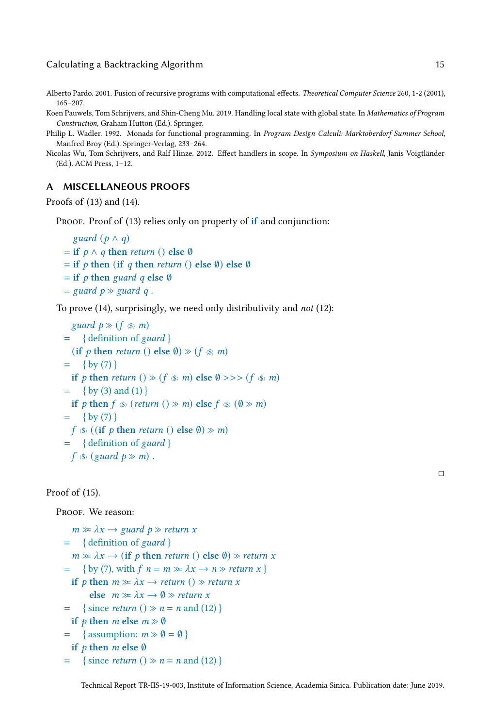<span id="page-14-4"></span>Alberto Pardo. 2001. Fusion of recursive programs with computational effects. Theoretical Computer Science 260, 1-2 (2001), 165–207.

<span id="page-14-1"></span>Koen Pauwels, Tom Schrijvers, and Shin-Cheng Mu. 2019. Handling local state with global state. In Mathematics of Program Construction, Graham Hutton (Ed.). Springer.

- <span id="page-14-0"></span>Philip L. Wadler. 1992. Monads for functional programming. In Program Design Calculi: Marktoberdorf Summer School, Manfred Broy (Ed.). Springer-Verlag, 233–264.
- <span id="page-14-3"></span>Nicolas Wu, Tom Schrijvers, and Ralf Hinze. 2012. Effect handlers in scope. In Symposium on Haskell, Janis Voigtländer (Ed.). ACM Press, 1–12.

## <span id="page-14-2"></span>A MISCELLANEOUS PROOFS

Proofs of [\(13\)](#page-2-6) and [\(14\)](#page-3-2).

PROOF. Proof of [\(13\)](#page-2-6) relies only on property of if and conjunction:

```
guard (p \wedge q)= if p \wedge q then return () else \emptyset= if p then (if q then return () else \emptyset) else \emptyset= if p then guard q else \emptyset= guard p \gg guard q.
```
To prove [\(14\)](#page-3-2), surprisingly, we need only distributivity and not [\(12\)](#page-2-4):

```
guard p \gg (f \ll m)= \{ definition of guard \}(if p then return () else \emptyset) \gg (f \lll m)
= (7) }
  if p then return () \gg (f \llap{$\langle \$\rangle$} m) else Ø >>> (f \llap{$\langle \$\rangle$} m)
= (3) (1) }
  if p then f \sin (return () \sin m) else f \sin (\sin)
= (7) }
 f \circ ((if p then return () else Ø) \gg m)
= { definition of guard }
 f \circledast (guard \ p \gg m).
```
Proof of [\(15\)](#page-3-1).

PROOF. We reason:

```
m \gg \lambda x \rightarrow guard p \gg return x
= { definition of guard }
  m \gg \lambda x \rightarrow (if \, p \, then \, return \, () \, else \, 0) \gg return \, x= (7), with f \nvert n = m \gg \lambda x \rightarrow n \gg return x }
  if p then m \gg \lambda x \rightarrow return () \gg return x
        else m \gg \lambda x \rightarrow \emptyset \gg return x
= { since return () \gg n = n (12) }
  if p then m else m \gg \emptyset= \{ assumption: m \gg \emptyset = \emptysetif p then m else \emptyset= { since return () \gg n = n (12) }
```